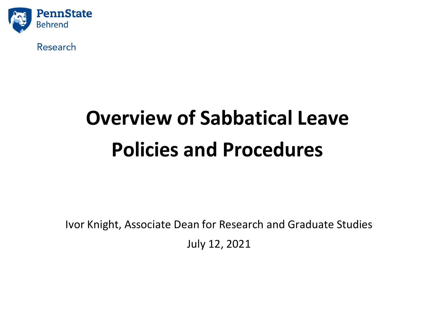

Research

# **Overview of Sabbatical Leave Policies and Procedures**

Ivor Knight, Associate Dean for Research and Graduate Studies July 12, 2021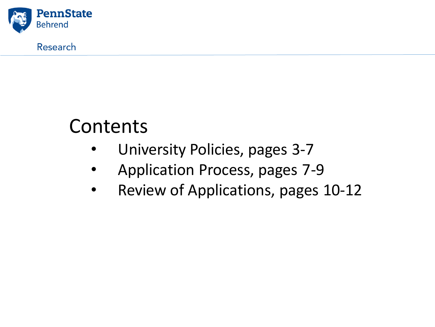

Research

## Contents

- University Policies, pages 3-7
- Application Process, pages 7-9
- Review of Applications, pages 10-12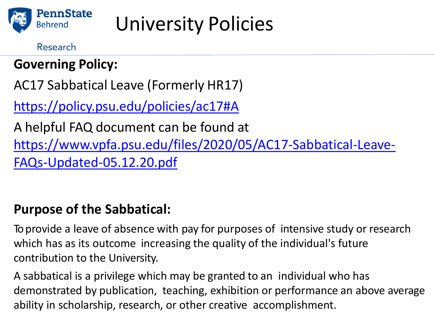

Research

## **Governing Policy:**

AC17 Sabbatical Leave (Formerly HR17)

<https://policy.psu.edu/policies/ac17#A>

A helpful FAQ document can be found at [https://www.vpfa.psu.edu/files/2020/05/AC17-Sabbatical-Leave-](https://www.vpfa.psu.edu/files/2020/05/AC17-Sabbatical-Leave-FAQs-Updated-05.12.20.pdf)FAQs-Updated-05.12.20.pdf

### **Purpose of the Sabbatical:**

To provide a leave of absence with pay for purposes of intensive study or research which has as its outcome increasing the quality of the individual's future contribution to the University.

A sabbatical is a privilege which may be granted to an individual who has demonstrated by publication, teaching, exhibition or performance an above average ability in scholarship, research, or other creative accomplishment.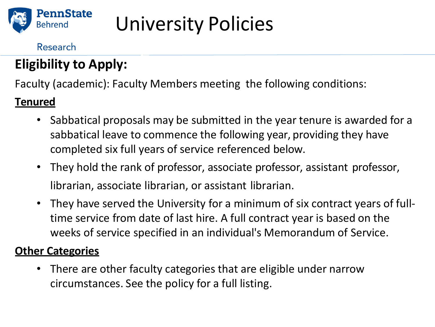

### Research

## — 2 **Eligibility to Apply:**

Faculty (academic): Faculty Members meeting the following conditions:

### **Tenured**

- Sabbatical proposals may be submitted in the year tenure is awarded for a sabbatical leave to commence the following year, providing they have completed six full years of service referenced below.
- They hold the rank of professor, associate professor, assistant professor, librarian, associate librarian, or assistant librarian.
- They have served the University for a minimum of six contract years of fulltime service from date of last hire. A full contract year is based on the weeks of service specified in an individual's Memorandum of Service.

### **Other Categories**

• There are other faculty categories that are eligible under narrow circumstances. See the policy for a full listing.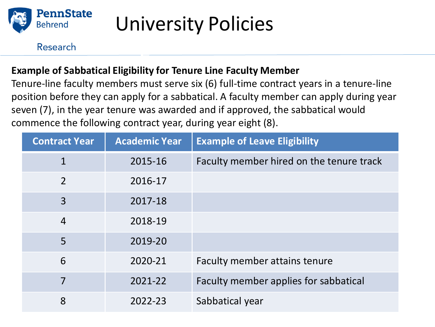

#### Research

### **Example of Sabbatical Eligibility for Tenure Line Faculty Member**

— 2

Tenure-line faculty members must serve six (6) full-time contract years in a tenure-line position before they can apply for a sabbatical. A faculty member can apply during year seven (7), in the year tenure was awarded and if approved, the sabbatical would commence the following contract year, during year eight (8).

| <b>Contract Year</b> | <b>Academic Year</b> | <b>Example of Leave Eligibility</b>      |
|----------------------|----------------------|------------------------------------------|
| $\mathbf{1}$         | 2015-16              | Faculty member hired on the tenure track |
| $\overline{2}$       | 2016-17              |                                          |
| 3                    | 2017-18              |                                          |
| $\overline{4}$       | 2018-19              |                                          |
| 5                    | 2019-20              |                                          |
| 6                    | 2020-21              | Faculty member attains tenure            |
| 7                    | 2021-22              | Faculty member applies for sabbatical    |
| 8                    | 2022-23              | Sabbatical year                          |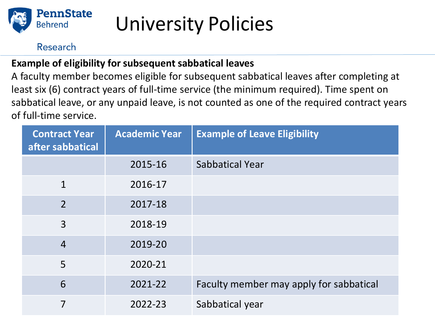

#### Research

### **Example of eligibility for subsequent sabbatical leaves**

A faculty member becomes eligible for subsequent sabbatical leaves after completing at least six (6) contract years of full-time service (the minimum required). Time spent on sabbatical leave, or any unpaid leave, is not counted as one of the required contract years of full-time service.

| <b>Contract Year</b><br>after sabbatical | <b>Academic Year</b> | <b>Example of Leave Eligibility</b>     |
|------------------------------------------|----------------------|-----------------------------------------|
|                                          | 2015-16              | <b>Sabbatical Year</b>                  |
| $\mathbf{1}$                             | 2016-17              |                                         |
| $\overline{2}$                           | 2017-18              |                                         |
| 3                                        | 2018-19              |                                         |
| $\overline{4}$                           | 2019-20              |                                         |
| 5                                        | 2020-21              |                                         |
| 6                                        | 2021-22              | Faculty member may apply for sabbatical |
| 7                                        | 2022-23              | Sabbatical year                         |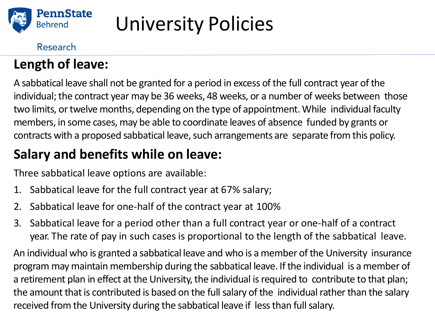

### Research

### **Length of leave:**

A sabbatical leave shall not be granted for a period in excess of the full contract year of the individual; the contract year may be 36 weeks, 48 weeks, or a number of weeks between those two limits, or twelve months, depending on the type of appointment. While individual faculty members, in some cases, may be able to coordinate leaves of absence funded by grants or contracts with a proposed sabbatical leave, such arrangements are separate from this policy.

## **Salary and benefits while on leave:**

Three sabbatical leave options are available:

- 1. Sabbatical leave for the full contract year at 67% salary;
- 2. Sabbatical leave for one-half of the contract year at 100%
- 3. Sabbatical leave for a period other than a full contract year or one-half of a contract year. The rate of pay in such cases is proportional to the length of the sabbatical leave.

An individual who is granted a sabbatical leave and who is a member of the University insurance program may maintain membership during the sabbatical leave. If the individual is a member of a retirement plan in effect at the University, the individual is required to contribute to that plan; the amount that is contributed is based on the full salary of the individual rather than the salary received from the University during the sabbatical leave if less than full salary.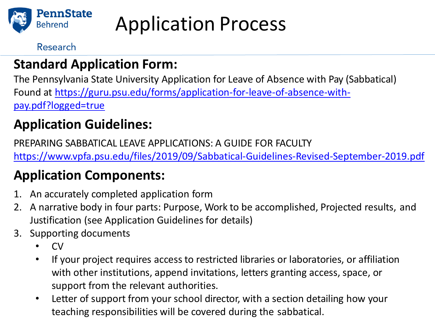

Application Process

Research

### **Standard Application Form:**

The Pennsylvania State University Application for Leave of Absence with Pay (Sabbatical) Found at [https://guru.psu.edu/forms/application-for-leave-of-absence-with](https://guru.psu.edu/forms/application-for-leave-of-absence-with-pay.pdf?logged=true)pay.pdf?logged=true

### **Application Guidelines:**

PREPARING SABBATICAL LEAVE APPLICATIONS: A GUIDE FOR FACULTY <https://www.vpfa.psu.edu/files/2019/09/Sabbatical-Guidelines-Revised-September-2019.pdf>

## **Application Components:**

- 1. An accurately completed application form
- 2. A narrative body in four parts: Purpose, Work to be accomplished, Projected results, and Justification (see Application Guidelines for details)
- 3. Supporting documents
	- CV
	- If your project requires access to restricted libraries or laboratories, or affiliation with other institutions, append invitations, letters granting access, space, or support from the relevant authorities.
	- Letter of support from your school director, with a section detailing how your teaching responsibilities will be covered during the sabbatical.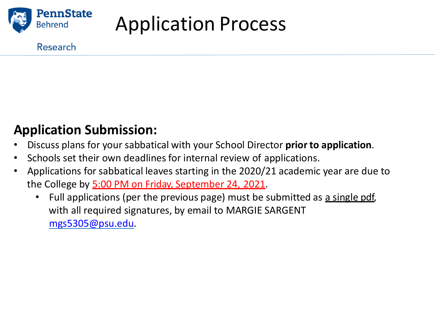

Application Process

#### Research

### **Application Submission:**

- Discuss plans for your sabbatical with your School Director **prior to application**.
- Schools set their own deadlines for internal review of applications.
- Applications for sabbatical leaves starting in the 2020/21 academic year are due to the College by 5:00 PM on Friday, September 24, 2021.
	- Full applications (per the previous page) must be submitted as a single pdf, with all required signatures, by email to MARGIE SARGENT [mgs5305@psu.edu.](mailto:mgs5305@psu.edu)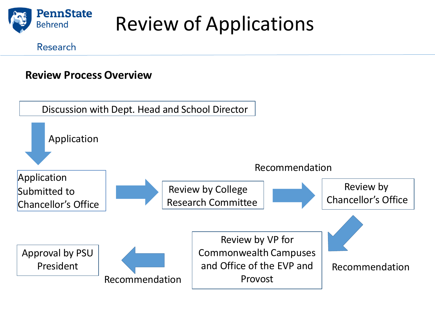

Review of Applications

#### Research

### **Review Process Overview**